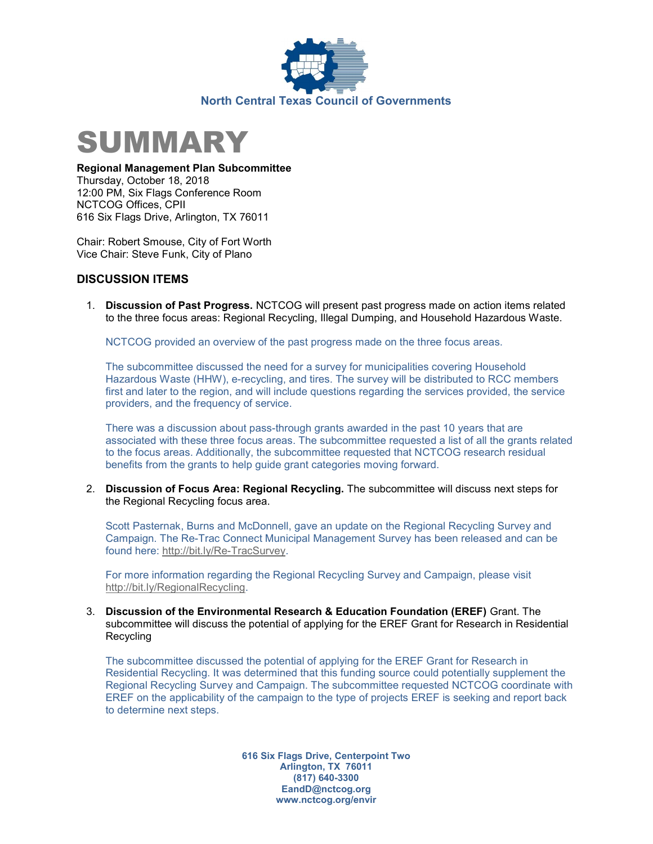



## Regional Management Plan Subcommittee

Thursday, October 18, 2018 12:00 PM, Six Flags Conference Room NCTCOG Offices, CPII 616 Six Flags Drive, Arlington, TX 76011

Chair: Robert Smouse, City of Fort Worth Vice Chair: Steve Funk, City of Plano

## DISCUSSION ITEMS

1. Discussion of Past Progress. NCTCOG will present past progress made on action items related to the three focus areas: Regional Recycling, Illegal Dumping, and Household Hazardous Waste.

NCTCOG provided an overview of the past progress made on the three focus areas.

The subcommittee discussed the need for a survey for municipalities covering Household Hazardous Waste (HHW), e-recycling, and tires. The survey will be distributed to RCC members first and later to the region, and will include questions regarding the services provided, the service providers, and the frequency of service.

There was a discussion about pass-through grants awarded in the past 10 years that are associated with these three focus areas. The subcommittee requested a list of all the grants related to the focus areas. Additionally, the subcommittee requested that NCTCOG research residual benefits from the grants to help guide grant categories moving forward.

2. Discussion of Focus Area: Regional Recycling. The subcommittee will discuss next steps for the Regional Recycling focus area.

Scott Pasternak, Burns and McDonnell, gave an update on the Regional Recycling Survey and Campaign. The Re-Trac Connect Municipal Management Survey has been released and can be found here: http://bit.ly/Re-TracSurvey.

For more information regarding the Regional Recycling Survey and Campaign, please visit http://bit.ly/RegionalRecycling.

3. Discussion of the Environmental Research & Education Foundation (EREF) Grant. The subcommittee will discuss the potential of applying for the EREF Grant for Research in Residential Recycling

The subcommittee discussed the potential of applying for the EREF Grant for Research in Residential Recycling. It was determined that this funding source could potentially supplement the Regional Recycling Survey and Campaign. The subcommittee requested NCTCOG coordinate with EREF on the applicability of the campaign to the type of projects EREF is seeking and report back to determine next steps.

> 616 Six Flags Drive, Centerpoint Two Arlington, TX 76011 (817) 640-3300 EandD@nctcog.org www.nctcog.org/envir